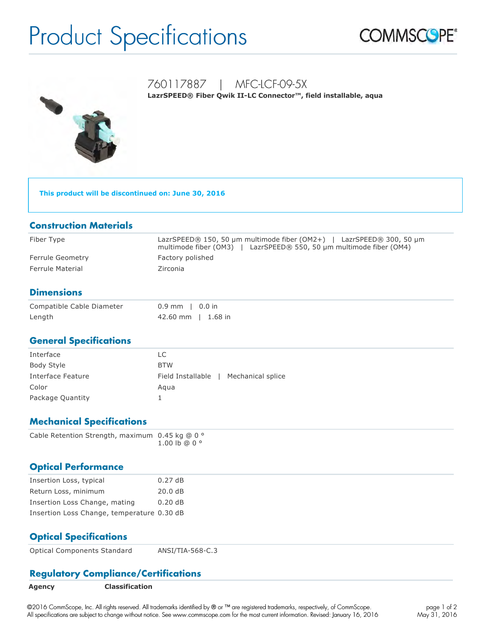# Product Specifications





# 760117887 | MFC-LCF-09-5X

LazrSPEED<sup>®</sup> Fiber Qwik II-LC Connector™, field installable, aqua

**This product will be discontinued on: June 30, 2016**

## **Construction Materials**

| Fiber Type              | LazrSPEED® 150, 50 $\mu$ m multimode fiber (OM2+)   LazrSPEED® 300, 50 $\mu$ m<br>multimode fiber (OM3)   LazrSPEED® 550, 50 µm multimode fiber (OM4) |
|-------------------------|-------------------------------------------------------------------------------------------------------------------------------------------------------|
| Ferrule Geometry        | Factory polished                                                                                                                                      |
| <b>Ferrule Material</b> | Zirconia                                                                                                                                              |

# **Dimensions**

| Compatible Cable Diameter | $0.9$ mm   0.0 in  |
|---------------------------|--------------------|
| Length                    | 42.60 mm   1.68 in |

#### **General Specifications**

| Interface         | LC                                    |
|-------------------|---------------------------------------|
| Body Style        | <b>BTW</b>                            |
| Interface Feature | Field Installable   Mechanical splice |
| Color             | Agua                                  |
| Package Quantity  |                                       |

# **Mechanical Specifications**

| Cable Retention Strength, maximum $0.45$ kg @ 0 $^{\circ}$ |  |                          |
|------------------------------------------------------------|--|--------------------------|
|                                                            |  | $1.00 \,$ lb @ 0 $\circ$ |

#### **Optical Performance**

| Insertion Loss, typical                    | 0.27dB  |
|--------------------------------------------|---------|
| Return Loss, minimum                       | 20.0 dB |
| Insertion Loss Change, mating              | 0.20dB  |
| Insertion Loss Change, temperature 0.30 dB |         |

# **Optical Specifications**

Optical Components Standard ANSI/TIA-568-C.3

# **Regulatory Compliance/Certifications**

| Agency | <b>Classification</b> |
|--------|-----------------------|
|--------|-----------------------|

©2016 CommScope, Inc. All rights reserved. All trademarks identified by ® or ™ are registered trademarks, respectively, of CommScope. All specifications are subject to change without notice. See www.commscope.com for the most current information. Revised: January 16, 2016